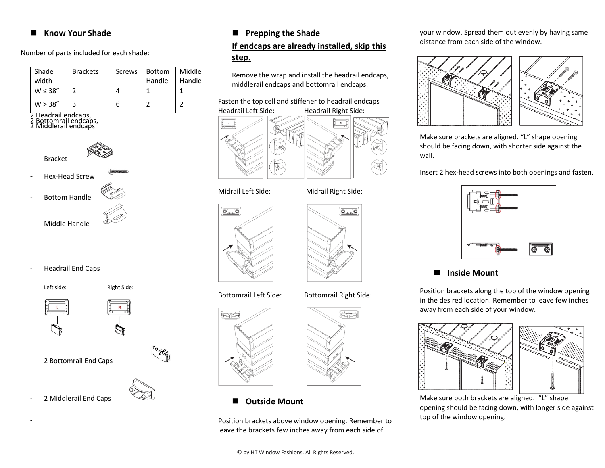#### **Know Your Shade**

Number of parts included for each shade:

| Shade         | <b>Brackets</b> | Screws | <b>Bottom</b> | Middle |
|---------------|-----------------|--------|---------------|--------|
| width         |                 |        | Handle        | Handle |
| $W \leq 38''$ |                 |        |               |        |
| W > 38"       |                 |        |               |        |

2 Headrail endcaps,<br>2 Bottomrail endcaps,<br>2 Middlerail endcaps



- Hex-Head Screw
- Bottom Handle
- 
- Middle Handle
- Headrail End Caps

Left side: Right Side:



2 Bottomrail End Caps



2 Middlerail End Caps

-

### **Prepping the Shade**

#### **If endcaps are already installed, skip this step.**

Remove the wrap and install the headrail endcaps, middlerail endcaps and bottomrail endcaps.

#### Fasten the top cell and stiffener to headrail endcaps Headrail Left Side: Headrail Right Side:



#### Midrail Left Side: Midrail Right Side:





# Bottomrail Left Side: Bottomrail Right Side:

 $\boxed{\overline{\mathbf{O}_{\text{max}}\mathbf{O}}}$ 



**Outside Mount**

Position brackets above window opening. Remember to leave the brackets few inches away from each side of

#### your window. Spread them out evenly by having same distance from each side of the window.



Make sure brackets are aligned. "L" shape opening should be facing down, with shorter side against the wall.

Insert 2 hex-head screws into both openings and fasten.



#### **Inside Mount**

Position brackets along the top of the window opening in the desired location. Remember to leave few inches away from each side of your window.



Make sure both brackets are aligned. "L" shape opening should be facing down, with longer side against top of the window opening.